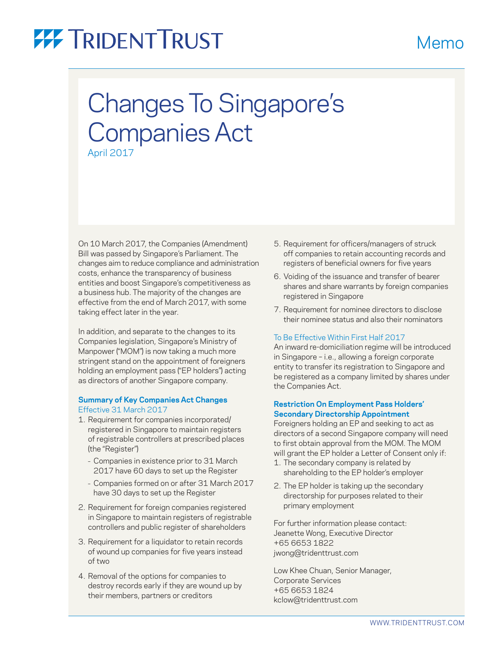# **77 TRIDENT TRUST**

## Changes To Singapore's Companies Act April 2017

On 10 March 2017, the Companies (Amendment) Bill was passed by Singapore's Parliament. The changes aim to reduce compliance and administration costs, enhance the transparency of business entities and boost Singapore's competitiveness as a business hub. The majority of the changes are effective from the end of March 2017, with some taking effect later in the year.

In addition, and separate to the changes to its Companies legislation, Singapore's Ministry of Manpower ("MOM") is now taking a much more stringent stand on the appointment of foreigners holding an employment pass ("EP holders") acting as directors of another Singapore company.

### **Summary of Key Companies Act Changes** Effective 31 March 2017

- 1. Requirement for companies incorporated/ registered in Singapore to maintain registers of registrable controllers at prescribed places (the "Register")
	- Companies in existence prior to 31 March 2017 have 60 days to set up the Register
	- Companies formed on or after 31 March 2017 have 30 days to set up the Register
- 2. Requirement for foreign companies registered in Singapore to maintain registers of registrable controllers and public register of shareholders
- 3. Requirement for a liquidator to retain records of wound up companies for five years instead of two
- 4. Removal of the options for companies to destroy records early if they are wound up by their members, partners or creditors

5. Requirement for officers/managers of struck off companies to retain accounting records and registers of beneficial owners for five years

Memo

- 6. Voiding of the issuance and transfer of bearer shares and share warrants by foreign companies registered in Singapore
- 7. Requirement for nominee directors to disclose their nominee status and also their nominators

### To Be Effective Within First Half 2017

An inward re-domiciliation regime will be introduced in Singapore – i.e., allowing a foreign corporate entity to transfer its registration to Singapore and be registered as a company limited by shares under the Companies Act.

### **Restriction On Employment Pass Holders' Secondary Directorship Appointment**

Foreigners holding an EP and seeking to act as directors of a second Singapore company will need to first obtain approval from the MOM. The MOM will grant the EP holder a Letter of Consent only if:

- 1. The secondary company is related by shareholding to the EP holder's employer
- 2. The EP holder is taking up the secondary directorship for purposes related to their primary employment

For further information please contact: Jeanette Wong, Executive Director +65 6653 1822 [jwong@tridenttrust.com](mailto:jwong%40tridenttrust.com?subject=Information%20Request)

Low Khee Chuan, Senior Manager, Corporate Services +65 6653 1824 kclow@tridenttrust.com